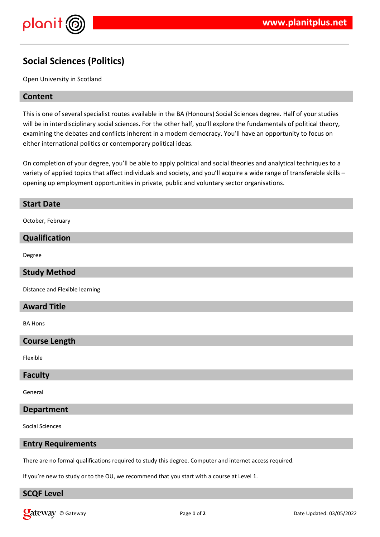

# **Social Sciences (Politics)**

Open University in Scotland

# **Content**

This is one of several specialist routes available in the BA (Honours) Social Sciences degree. Half of your studies will be in interdisciplinary social sciences. For the other half, you'll explore the fundamentals of political theory, examining the debates and conflicts inherent in a modern democracy. You'll have an opportunity to focus on either international politics or contemporary political ideas.

On completion of your degree, you'll be able to apply political and social theories and analytical techniques to a variety of applied topics that affect individuals and society, and you'll acquire a wide range of transferable skills opening up employment opportunities in private, public and voluntary sector organisations.

# **Start Date**

October, February

#### **Qualification**

Degree

# **Study Method**

Distance and Flexible learning

# **Award Title**

BA Hons

# **Course Length**

Flexible

#### **Faculty**

General

#### **Department**

Social Sciences

#### **Entry Requirements**

There are no formal qualifications required to study this degree. Computer and internet access required.

If you're new to study or to the OU, we recommend that you start with a course at Level 1.

# **SCQF Level**